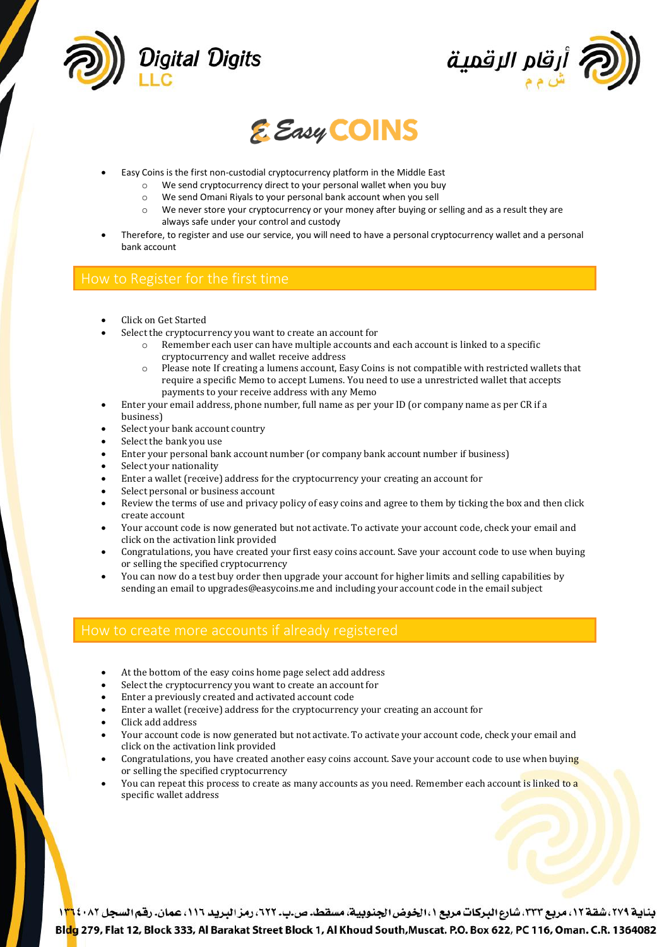





- Easy Coins is the first non-custodial cryptocurrency platform in the Middle East
	- o We send cryptocurrency direct to your personal wallet when you buy
	- o We send Omani Riyals to your personal bank account when you sell
	- o We never store your cryptocurrency or your money after buying or selling and as a result they are always safe under your control and custody
- Therefore, to register and use our service, you will need to have a personal cryptocurrency wallet and a personal bank account

- Click on Get Started
- Select the cryptocurrency you want to create an account for
	- Remember each user can have multiple accounts and each account is linked to a specific cryptocurrency and wallet receive address
	- Please note If creating a lumens account, Easy Coins is not compatible with restricted wallets that require a specific Memo to accept Lumens. You need to use a unrestricted wallet that accepts payments to your receive address with any Memo
- Enter your email address, phone number, full name as per your ID (or company name as per CR if a business)
- Select your bank account country
- Select the bank you use
- Enter your personal bank account number (or company bank account number if business)
- Select your nationality
- Enter a wallet (receive) address for the cryptocurrency your creating an account for
- Select personal or business account
- Review the terms of use and privacy policy of easy coins and agree to them by ticking the box and then click create account
- Your account code is now generated but not activate. To activate your account code, check your email and click on the activation link provided
- Congratulations, you have created your first easy coins account. Save your account code to use when buying or selling the specified cryptocurrency
- You can now do a test buy order then upgrade your account for higher limits and selling capabilities by sending an email to upgrades@easycoins.me and including your account code in the email subject

- At the bottom of the easy coins home page select add address
- Select the cryptocurrency you want to create an account for
- Enter a previously created and activated account code
- Enter a wallet (receive) address for the cryptocurrency your creating an account for
- Click add address
- Your account code is now generated but not activate. To activate your account code, check your email and click on the activation link provided
- Congratulations, you have created another easy coins account. Save your account code to use when buying or selling the specified cryptocurrency
- You can repeat this process to create as many accounts as you need. Remember each account is linked to a specific wallet address

بناية ٢٧٩، شقة ١٢، مربع ٢٣٣، شارع البركات مربع ١، الخوض الجنوبية، مسقط. ص.ب. ٢٢٢، رمز البريد ١١٦، عمان. رقم السجل ١٣٦٤٠٨٢ Bldg 279, Flat 12, Block 333, Al Barakat Street Block 1, Al Khoud South, Muscat. P.O. Box 622, PC 116, Oman. C.R. 1364082